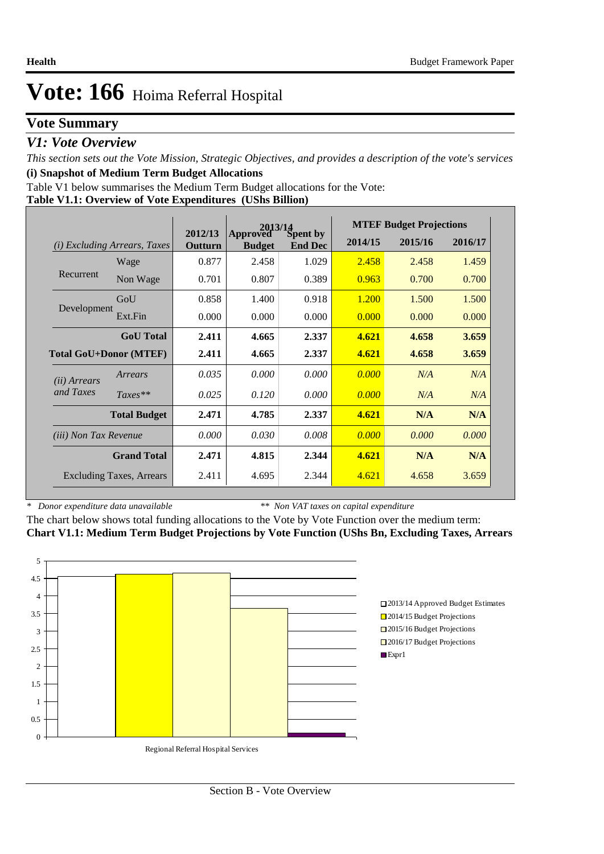### **Vote Summary**

### *V1: Vote Overview*

*This section sets out the Vote Mission, Strategic Objectives, and provides a description of the vote's services* **(i) Snapshot of Medium Term Budget Allocations** 

Table V1 below summarises the Medium Term Budget allocations for the Vote:

|  |  | Table V1.1: Overview of Vote Expenditures (UShs Billion) |
|--|--|----------------------------------------------------------|
|  |  |                                                          |

|                              |                                       | 2012/13 |                           | $2013/14$<br>ved Spent by |         | <b>MTEF Budget Projections</b> |         |
|------------------------------|---------------------------------------|---------|---------------------------|---------------------------|---------|--------------------------------|---------|
|                              | ( <i>i</i> ) Excluding Arrears, Taxes | Outturn | Approved<br><b>Budget</b> | <b>End Dec</b>            | 2014/15 | 2015/16                        | 2016/17 |
|                              | Wage                                  | 0.877   | 2.458                     | 1.029                     | 2.458   | 2.458                          | 1.459   |
| Recurrent                    | Non Wage                              | 0.701   | 0.807                     | 0.389                     | 0.963   | 0.700                          | 0.700   |
|                              | GoU                                   | 0.858   | 1.400                     | 0.918                     | 1.200   | 1.500                          | 1.500   |
| Development                  | Ext.Fin                               | 0.000   | 0.000                     | 0.000                     | 0.000   | 0.000                          | 0.000   |
|                              | <b>GoU</b> Total                      | 2.411   | 4.665                     | 2.337                     | 4.621   | 4.658                          | 3.659   |
|                              | <b>Total GoU+Donor (MTEF)</b>         | 2.411   | 4.665                     | 2.337                     | 4.621   | 4.658                          | 3.659   |
| ( <i>ii</i> ) Arrears        | Arrears                               | 0.035   | 0.000                     | 0.000                     | 0.000   | N/A                            | N/A     |
| and Taxes                    | $Taxes**$                             | 0.025   | 0.120                     | 0.000                     | 0.000   | N/A                            | N/A     |
|                              | <b>Total Budget</b>                   | 2.471   | 4.785                     | 2.337                     | 4.621   | N/A                            | N/A     |
| <i>(iii)</i> Non Tax Revenue |                                       | 0.000   | 0.030                     | 0.008                     | 0.000   | 0.000                          | 0.000   |
|                              | <b>Grand Total</b>                    | 2.471   | 4.815                     | 2.344                     | 4.621   | N/A                            | N/A     |
|                              | <b>Excluding Taxes, Arrears</b>       | 2.411   | 4.695                     | 2.344                     | 4.621   | 4.658                          | 3.659   |

*\* Donor expenditure data unavailable*

*\*\* Non VAT taxes on capital expenditure*

The chart below shows total funding allocations to the Vote by Vote Function over the medium term: **Chart V1.1: Medium Term Budget Projections by Vote Function (UShs Bn, Excluding Taxes, Arrears**

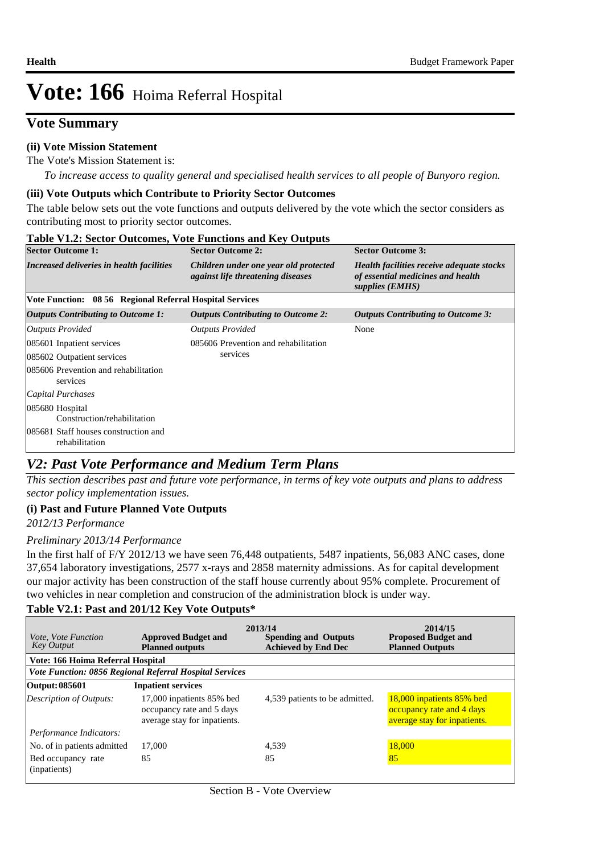### **Vote Summary**

### **(ii) Vote Mission Statement**

The Vote's Mission Statement is:

*To increase access to quality general and specialised health services to all people of Bunyoro region.*

### **(iii) Vote Outputs which Contribute to Priority Sector Outcomes**

The table below sets out the vote functions and outputs delivered by the vote which the sector considers as contributing most to priority sector outcomes.

### **Table V1.2: Sector Outcomes, Vote Functions and Key Outputs**

| <b>Sector Outcome 2:</b>                                                          | <b>Sector Outcome 3:</b>                                                                          |
|-----------------------------------------------------------------------------------|---------------------------------------------------------------------------------------------------|
| Children under one year old protected<br><i>against life threatening diseases</i> | Health facilities receive adequate stocks<br>of essential medicines and health<br>supplies (EMHS) |
|                                                                                   |                                                                                                   |
| <b>Outputs Contributing to Outcome 2:</b>                                         | <b>Outputs Contributing to Outcome 3:</b>                                                         |
| <b>Outputs Provided</b>                                                           | None                                                                                              |
| 085606 Prevention and rehabilitation                                              |                                                                                                   |
| services                                                                          |                                                                                                   |
|                                                                                   |                                                                                                   |
|                                                                                   |                                                                                                   |
|                                                                                   |                                                                                                   |
|                                                                                   |                                                                                                   |
|                                                                                   | Vote Function: 08 56 Regional Referral Hospital Services                                          |

### *V2: Past Vote Performance and Medium Term Plans*

*This section describes past and future vote performance, in terms of key vote outputs and plans to address sector policy implementation issues.* 

### **(i) Past and Future Planned Vote Outputs**

*2012/13 Performance*

### *Preliminary 2013/14 Performance*

In the first half of F/Y 2012/13 we have seen 76,448 outpatients, 5487 inpatients, 56,083 ANC cases, done 37,654 laboratory investigations, 2577 x-rays and 2858 maternity admissions. As for capital development our major activity has been construction of the staff house currently about 95% complete. Procurement of two vehicles in near completion and construcion of the administration block is under way.

### **Table V2.1: Past and 201/12 Key Vote Outputs\***

| <i>Vote, Vote Function</i><br><b>Key Output</b> | <b>Approved Budget and</b><br><b>Planned outputs</b>                                   | 2013/14<br><b>Spending and Outputs</b><br><b>Achieved by End Dec</b> | 2014/15<br><b>Proposed Budget and</b><br><b>Planned Outputs</b>                        |
|-------------------------------------------------|----------------------------------------------------------------------------------------|----------------------------------------------------------------------|----------------------------------------------------------------------------------------|
| Vote: 166 Hoima Referral Hospital               |                                                                                        |                                                                      |                                                                                        |
|                                                 | <b>Vote Function: 0856 Regional Referral Hospital Services</b>                         |                                                                      |                                                                                        |
| Output: 085601                                  | <b>Inpatient services</b>                                                              |                                                                      |                                                                                        |
| <b>Description of Outputs:</b>                  | 17,000 inpatients 85% bed<br>occupancy rate and 5 days<br>average stay for inpatients. | 4,539 patients to be admitted.                                       | 18,000 inpatients 85% bed<br>occupancy rate and 4 days<br>average stay for inpatients. |
| Performance Indicators:                         |                                                                                        |                                                                      |                                                                                        |
| No. of in patients admitted                     | 17,000                                                                                 | 4,539                                                                | 18,000                                                                                 |
| Bed occupancy rate<br>(inpatients)              | 85                                                                                     | 85                                                                   | 85                                                                                     |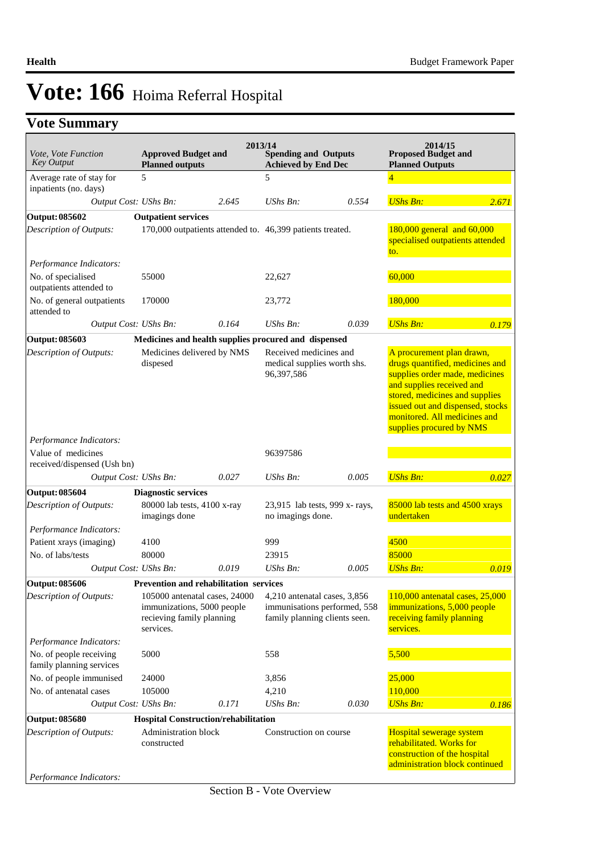## **Vote Summary**

| Vote, Vote Function<br><b>Key Output</b>            | <b>Approved Budget and</b><br><b>Planned outputs</b>                                                  |       | 2013/14<br><b>Spending and Outputs</b><br><b>Achieved by End Dec</b>                          |       | 2014/15<br><b>Proposed Budget and</b><br><b>Planned Outputs</b>                                                                                                                                                                                               |       |
|-----------------------------------------------------|-------------------------------------------------------------------------------------------------------|-------|-----------------------------------------------------------------------------------------------|-------|---------------------------------------------------------------------------------------------------------------------------------------------------------------------------------------------------------------------------------------------------------------|-------|
| Average rate of stay for                            | 5                                                                                                     |       | 5                                                                                             |       |                                                                                                                                                                                                                                                               |       |
| inpatients (no. days)                               |                                                                                                       | 2.645 | <b>UShs Bn:</b>                                                                               | 0.554 | <b>UShs Bn:</b>                                                                                                                                                                                                                                               |       |
| Output Cost: UShs Bn:                               |                                                                                                       |       |                                                                                               |       |                                                                                                                                                                                                                                                               | 2.671 |
| <b>Output: 085602</b><br>Description of Outputs:    | <b>Outpatient services</b><br>170,000 outpatients attended to. 46,399 patients treated.               |       |                                                                                               |       | 180,000 general and 60,000<br>specialised outpatients attended<br>to.                                                                                                                                                                                         |       |
| Performance Indicators:                             |                                                                                                       |       |                                                                                               |       |                                                                                                                                                                                                                                                               |       |
| No. of specialised<br>outpatients attended to       | 55000                                                                                                 |       | 22,627                                                                                        |       | 60,000                                                                                                                                                                                                                                                        |       |
| No. of general outpatients<br>attended to           | 170000                                                                                                |       | 23,772                                                                                        |       | 180,000                                                                                                                                                                                                                                                       |       |
| Output Cost: UShs Bn:                               |                                                                                                       | 0.164 | $UShs Bn$ :                                                                                   | 0.039 | <b>UShs Bn:</b>                                                                                                                                                                                                                                               | 0.179 |
| Output: 085603                                      | Medicines and health supplies procured and dispensed                                                  |       |                                                                                               |       |                                                                                                                                                                                                                                                               |       |
| Description of Outputs:                             | Medicines delivered by NMS<br>dispesed                                                                |       | Received medicines and<br>medical supplies worth shs.<br>96,397,586                           |       | A procurement plan drawn,<br>drugs quantified, medicines and<br>supplies order made, medicines<br>and supplies received and<br>stored, medicines and supplies<br>issued out and dispensed, stocks<br>monitored. All medicines and<br>supplies procured by NMS |       |
| Performance Indicators:                             |                                                                                                       |       |                                                                                               |       |                                                                                                                                                                                                                                                               |       |
| Value of medicines<br>received/dispensed (Ush bn)   |                                                                                                       |       | 96397586                                                                                      |       |                                                                                                                                                                                                                                                               |       |
| Output Cost: UShs Bn:                               |                                                                                                       | 0.027 | $UShs Bn$ :                                                                                   | 0.005 | <b>UShs Bn:</b>                                                                                                                                                                                                                                               | 0.027 |
| <b>Output: 085604</b>                               | <b>Diagnostic services</b>                                                                            |       |                                                                                               |       |                                                                                                                                                                                                                                                               |       |
| Description of Outputs:                             | 80000 lab tests, 4100 x-ray<br>imagings done                                                          |       | 23,915 lab tests, 999 x-rays,<br>no imagings done.                                            |       | 85000 lab tests and 4500 xrays<br>undertaken                                                                                                                                                                                                                  |       |
| Performance Indicators:                             |                                                                                                       |       |                                                                                               |       |                                                                                                                                                                                                                                                               |       |
| Patient xrays (imaging)                             | 4100                                                                                                  |       | 999                                                                                           |       | 4500                                                                                                                                                                                                                                                          |       |
| No. of labs/tests                                   | 80000                                                                                                 |       | 23915                                                                                         |       | 85000                                                                                                                                                                                                                                                         |       |
| Output Cost: UShs Bn:                               |                                                                                                       | 0.019 | UShs Bn:                                                                                      | 0.005 | <b>UShs Bn:</b>                                                                                                                                                                                                                                               | 0.019 |
| <b>Output: 085606</b>                               | <b>Prevention and rehabilitation services</b>                                                         |       |                                                                                               |       |                                                                                                                                                                                                                                                               |       |
| Description of Outputs:                             | 105000 antenatal cases, 24000<br>immunizations, 5000 people<br>recieving family planning<br>services. |       | 4,210 antenatal cases, 3,856<br>immunisations performed, 558<br>family planning clients seen. |       | 110,000 antenatal cases, 25,000<br>immunizations, 5,000 people<br>receiving family planning<br>services.                                                                                                                                                      |       |
| Performance Indicators:                             |                                                                                                       |       |                                                                                               |       |                                                                                                                                                                                                                                                               |       |
| No. of people receiving<br>family planning services | 5000                                                                                                  |       | 558                                                                                           |       | 5,500                                                                                                                                                                                                                                                         |       |
| No. of people immunised                             | 24000                                                                                                 |       | 3,856                                                                                         |       | 25,000                                                                                                                                                                                                                                                        |       |
| No. of antenatal cases                              | 105000                                                                                                |       | 4,210                                                                                         |       | 110,000                                                                                                                                                                                                                                                       |       |
| Output Cost: UShs Bn:                               |                                                                                                       | 0.171 | UShs Bn:                                                                                      | 0.030 | <b>UShs Bn:</b>                                                                                                                                                                                                                                               | 0.186 |
| <b>Output: 085680</b>                               | Hospital Construction/rehabilitation                                                                  |       |                                                                                               |       |                                                                                                                                                                                                                                                               |       |
| Description of Outputs:<br>Performance Indicators:  | Administration block<br>constructed                                                                   |       | Construction on course                                                                        |       | Hospital sewerage system<br>rehabilitated. Works for<br>construction of the hospital<br>administration block continued                                                                                                                                        |       |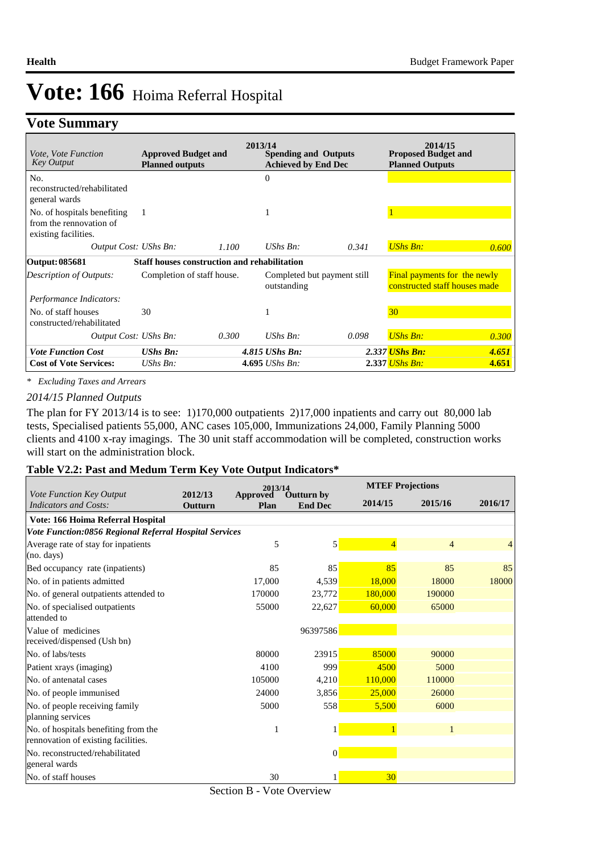### **Vote Summary**

| <i>Vote, Vote Function</i><br><b>Key Output</b>                                | <b>Approved Budget and</b><br><b>Planned outputs</b> | 2013/14 | <b>Spending and Outputs</b><br><b>Achieved by End Dec</b> |       | 2014/15<br><b>Proposed Budget and</b><br><b>Planned Outputs</b>      |       |
|--------------------------------------------------------------------------------|------------------------------------------------------|---------|-----------------------------------------------------------|-------|----------------------------------------------------------------------|-------|
| No.<br>reconstructed/rehabilitated<br>general wards                            |                                                      |         | $\Omega$                                                  |       |                                                                      |       |
| No. of hospitals benefiting<br>from the rennovation of<br>existing facilities. | 1                                                    |         |                                                           |       |                                                                      |       |
| Output Cost: UShs Bn:                                                          |                                                      | 1.100   | UShs $Bn$ :                                               | 0.341 | <b>UShs Bn:</b>                                                      | 0.600 |
| <b>Output: 085681</b>                                                          | <b>Staff houses construction and rehabilitation</b>  |         |                                                           |       |                                                                      |       |
| Description of Outputs:                                                        | Completion of staff house.                           |         | Completed but payment still<br>outstanding                |       | <b>Final payments for the newly</b><br>constructed staff houses made |       |
| Performance Indicators:                                                        |                                                      |         |                                                           |       |                                                                      |       |
| No. of staff houses<br>constructed/rehabilitated                               | 30                                                   |         |                                                           |       | 30 <sup>°</sup>                                                      |       |
| Output Cost: UShs Bn:                                                          |                                                      | 0.300   | UShs $Bn$ :                                               | 0.098 | <b>UShs Bn:</b>                                                      | 0.300 |
| <b>Vote Function Cost</b>                                                      | <b>UShs Bn:</b>                                      |         | 4.815 UShs Bn:                                            |       | 2.337 UShs Bn:                                                       | 4.651 |
| <b>Cost of Vote Services:</b>                                                  | UShs $Bn$ :                                          |         | 4.695 <i>UShs Bn</i> :                                    |       | 2.337 <i>UShs Bn:</i>                                                | 4.651 |

*\* Excluding Taxes and Arrears*

#### *2014/15 Planned Outputs*

The plan for FY 2013/14 is to see: 1)170,000 outpatients 2)17,000 inpatients and carry out 80,000 lab tests, Specialised patients 55,000, ANC cases 105,000, Immunizations 24,000, Family Planning 5000 clients and 4100 x-ray imagings. The 30 unit staff accommodation will be completed, construction works will start on the administration block.

### **Table V2.2: Past and Medum Term Key Vote Output Indicators\***

|                                                        | 2012/13        | 2013/14                 |                                     | <b>MTEF Projections</b> |                |         |
|--------------------------------------------------------|----------------|-------------------------|-------------------------------------|-------------------------|----------------|---------|
| Vote Function Key Output<br>Indicators and Costs:      | <b>Outturn</b> | <b>Approved</b><br>Plan | <b>Outturn by</b><br><b>End Dec</b> | 2014/15                 | 2015/16        | 2016/17 |
| Vote: 166 Hoima Referral Hospital                      |                |                         |                                     |                         |                |         |
| Vote Function:0856 Regional Referral Hospital Services |                |                         |                                     |                         |                |         |
| Average rate of stay for inpatients                    |                | 5                       | $\mathbf{5}$                        | $\overline{4}$          | $\overline{4}$ | 4       |
| (no. days)                                             |                |                         |                                     |                         |                |         |
| Bed occupancy rate (inpatients)                        |                | 85                      | 85                                  | 85                      | 85             | 85      |
| No. of in patients admitted                            |                | 17,000                  | 4,539                               | 18,000                  | 18000          | 18000   |
| No. of general outpatients attended to                 |                | 170000                  | 23,772                              | 180,000                 | 190000         |         |
| No. of specialised outpatients                         |                | 55000                   | 22,627                              | 60,000                  | 65000          |         |
| attended to                                            |                |                         |                                     |                         |                |         |
| Value of medicines                                     |                |                         | 96397586                            |                         |                |         |
| received/dispensed (Ush bn)                            |                |                         |                                     |                         |                |         |
| No. of labs/tests                                      |                | 80000                   | 23915                               | 85000                   | 90000          |         |
| Patient xrays (imaging)                                |                | 4100                    | 999                                 | 4500                    | 5000           |         |
| No. of antenatal cases                                 |                | 105000                  | 4,210                               | 110,000                 | 110000         |         |
| No. of people immunised                                |                | 24000                   | 3,856                               | 25,000                  | 26000          |         |
| No. of people receiving family                         |                | 5000                    | 558                                 | 5,500                   | 6000           |         |
| planning services                                      |                |                         |                                     |                         |                |         |
| No. of hospitals benefiting from the                   |                | 1                       |                                     |                         |                |         |
| rennovation of existing facilities.                    |                |                         |                                     |                         |                |         |
| No. reconstructed/rehabilitated                        |                |                         | $\vert 0 \vert$                     |                         |                |         |
| general wards                                          |                |                         |                                     |                         |                |         |
| No. of staff houses                                    |                | 30                      | 1                                   | 30 <sub>o</sub>         |                |         |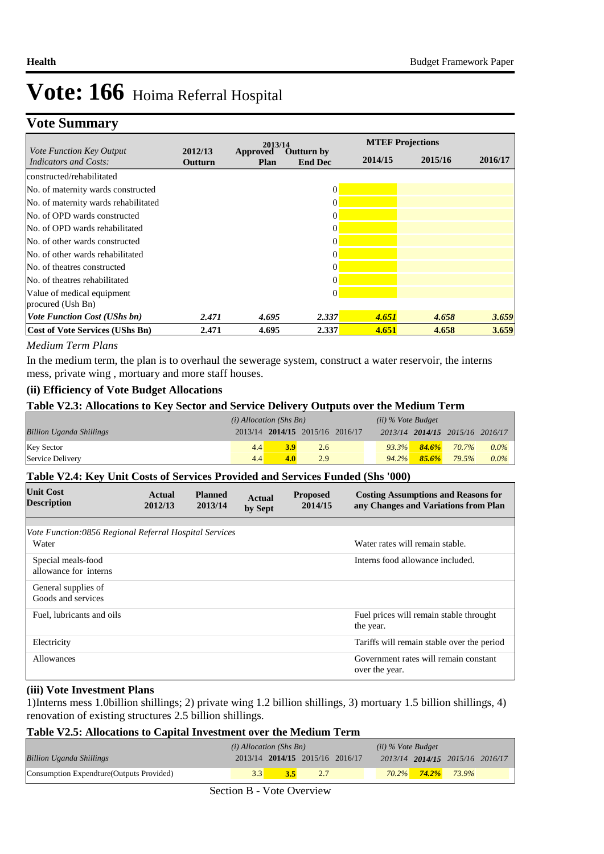## **Vote Summary**

|                                                          |                    | 2013/14                                                 |          |         | <b>MTEF Projections</b> |         |  |
|----------------------------------------------------------|--------------------|---------------------------------------------------------|----------|---------|-------------------------|---------|--|
| <i>Vote Function Key Output</i><br>Indicators and Costs: | 2012/13<br>Outturn | Approved<br><b>Outturn by</b><br><b>End Dec</b><br>Plan |          | 2014/15 | 2015/16                 | 2016/17 |  |
| constructed/rehabilitated                                |                    |                                                         |          |         |                         |         |  |
| No. of maternity wards constructed                       |                    |                                                         | 0        |         |                         |         |  |
| No. of maternity wards rehabilitated                     |                    |                                                         | 0        |         |                         |         |  |
| No. of OPD wards constructed                             |                    |                                                         | 0        |         |                         |         |  |
| No. of OPD wards rehabilitated                           |                    |                                                         |          |         |                         |         |  |
| No. of other wards constructed                           |                    |                                                         | 0        |         |                         |         |  |
| No. of other wards rehabilitated                         |                    |                                                         | 0        |         |                         |         |  |
| No. of theatres constructed                              |                    |                                                         |          |         |                         |         |  |
| No. of theatres rehabilitated                            |                    |                                                         | 0        |         |                         |         |  |
| Value of medical equipment<br>procured (Ush Bn)          |                    |                                                         | $\Omega$ |         |                         |         |  |
| <b>Vote Function Cost (UShs bn)</b>                      | 2.471              | 4.695                                                   | 2.337    | 4.651   | 4.658                   | 3.659   |  |
| <b>Cost of Vote Services (UShs Bn)</b>                   | 2.471              | 4.695                                                   | 2.337    | 4.651   | 4.658                   | 3.659   |  |

### *Medium Term Plans*

In the medium term, the plan is to overhaul the sewerage system, construct a water reservoir, the interns mess, private wing , mortuary and more staff houses.

### **(ii) Efficiency of Vote Budget Allocations**

### **Table V2.3: Allocations to Key Sector and Service Delivery Outputs over the Medium Term**

|                                 | $(i)$ Allocation (Shs Bn) |     |                                 |  |          | $(ii)$ % Vote Budget |                                 |         |
|---------------------------------|---------------------------|-----|---------------------------------|--|----------|----------------------|---------------------------------|---------|
| <b>Billion Uganda Shillings</b> |                           |     | 2013/14 2014/15 2015/16 2016/17 |  |          |                      | 2013/14 2014/15 2015/16 2016/17 |         |
| <b>Key Sector</b>               | 4.4                       | 3.9 | 2.6                             |  |          | $93.3\%$ $84.6\%$    | 70.7%                           | $0.0\%$ |
| Service Delivery                | 4.4                       | 4.0 | 2.9                             |  | $94.2\%$ | $85.6\%$             | 79.5%                           | $0.0\%$ |

### **Table V2.4: Key Unit Costs of Services Provided and Services Funded (Shs '000)**

| <b>Unit Cost</b><br><b>Description</b>                          | Actual<br>2012/13 | <b>Planned</b><br>2013/14 | Actual<br>by Sept | <b>Proposed</b><br>2014/15 | <b>Costing Assumptions and Reasons for</b><br>any Changes and Variations from Plan |
|-----------------------------------------------------------------|-------------------|---------------------------|-------------------|----------------------------|------------------------------------------------------------------------------------|
| Vote Function:0856 Regional Referral Hospital Services<br>Water |                   |                           |                   |                            | Water rates will remain stable.                                                    |
| Special meals-food<br>allowance for interns                     |                   |                           |                   |                            | Interns food allowance included.                                                   |
| General supplies of<br>Goods and services                       |                   |                           |                   |                            |                                                                                    |
| Fuel, lubricants and oils                                       |                   |                           |                   |                            | Fuel prices will remain stable throught<br>the year.                               |
| Electricity                                                     |                   |                           |                   |                            | Tariffs will remain stable over the period                                         |
| Allowances                                                      |                   |                           |                   |                            | Government rates will remain constant<br>over the year.                            |

### **(iii) Vote Investment Plans**

1)Interns mess 1.0billion shillings; 2) private wing 1.2 billion shillings, 3) mortuary 1.5 billion shillings, 4) renovation of existing structures 2.5 billion shillings.

### **Table V2.5: Allocations to Capital Investment over the Medium Term**

|                                           | $(i)$ Allocation (Shs Bn) |                                 |  | (ii) % Vote Budget |                                 |  |
|-------------------------------------------|---------------------------|---------------------------------|--|--------------------|---------------------------------|--|
| <b>Billion Uganda Shillings</b>           |                           | 2013/14 2014/15 2015/16 2016/17 |  |                    | 2013/14 2014/15 2015/16 2016/17 |  |
| Consumption Expendture (Outputs Provided) |                           |                                 |  |                    | $70.2\%$ 74.2% 73.9%            |  |

Section B - Vote Overview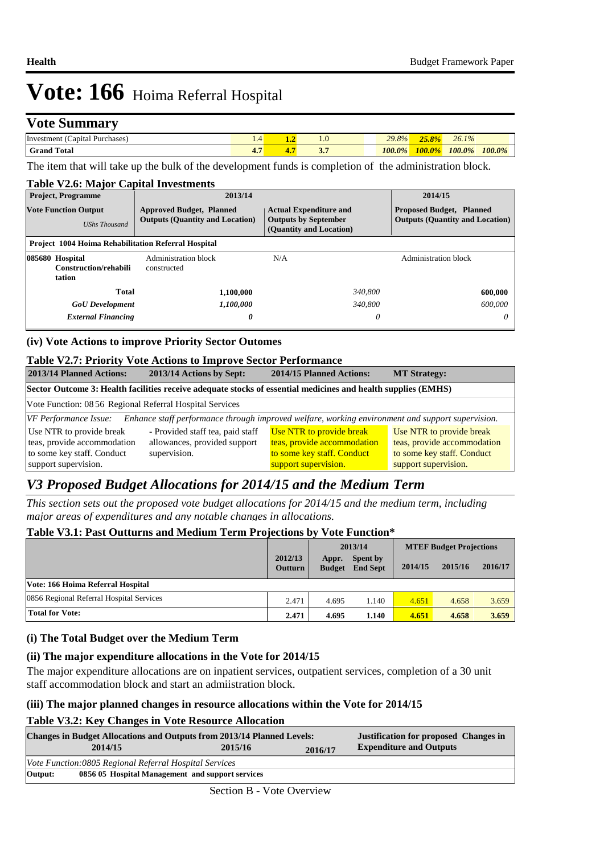### **Vote Summary**

| Investment<br>Purchases.<br>$\epsilon$ apital $\epsilon$ | ⊥.∸ | --  | $\mathbf{1} \cdot \mathbf{U}$ | 29.8%<br>$\sim$ | $-$<br>$\frac{1}{2}$ | $\mathbf{A}$<br>26.1<br>70 |        |
|----------------------------------------------------------|-----|-----|-------------------------------|-----------------|----------------------|----------------------------|--------|
| <sup>1</sup> Total<br>Grand                              | . . | . . | $\sim$                        | 100.0%          | $100.0\%$            | 100.0%                     | 100.0% |

The item that will take up the bulk of the development funds is completion of the administration block.

| <b>Table V2.6: Major Capital Investments</b>               |                                                                           |                                                                                         |                                                                           |  |  |  |  |  |  |
|------------------------------------------------------------|---------------------------------------------------------------------------|-----------------------------------------------------------------------------------------|---------------------------------------------------------------------------|--|--|--|--|--|--|
| <b>Project, Programme</b>                                  | 2013/14                                                                   | 2014/15                                                                                 |                                                                           |  |  |  |  |  |  |
| <b>Vote Function Output</b><br><b>UShs Thousand</b>        | <b>Approved Budget, Planned</b><br><b>Outputs (Quantity and Location)</b> | <b>Actual Expenditure and</b><br><b>Outputs by September</b><br>(Quantity and Location) | <b>Proposed Budget, Planned</b><br><b>Outputs (Quantity and Location)</b> |  |  |  |  |  |  |
| <b>Project 1004 Hoima Rehabilitation Referral Hospital</b> |                                                                           |                                                                                         |                                                                           |  |  |  |  |  |  |
| 085680 Hospital<br>Construction/rehabili<br>tation         | Administration block<br>constructed                                       | N/A                                                                                     | Administration block                                                      |  |  |  |  |  |  |
| Total                                                      | 1,100,000                                                                 | 340,800                                                                                 | 600,000                                                                   |  |  |  |  |  |  |
| <b>GoU</b> Development                                     | 1,100,000                                                                 | 340,800                                                                                 | 600,000                                                                   |  |  |  |  |  |  |
| <b>External Financing</b>                                  | 0                                                                         | 0                                                                                       | 0                                                                         |  |  |  |  |  |  |

### **(iv) Vote Actions to improve Priority Sector Outomes**

### **Table V2.7: Priority Vote Actions to Improve Sector Performance**

| 2013/14 Planned Actions:<br>2013/14 Actions by Sept:                                                                             |                                  | 2014/15 Planned Actions:    | <b>MT Strategy:</b>         |  |  |  |  |
|----------------------------------------------------------------------------------------------------------------------------------|----------------------------------|-----------------------------|-----------------------------|--|--|--|--|
| Sector Outcome 3: Health facilities receive adequate stocks of essential medicines and health supplies (EMHS)                    |                                  |                             |                             |  |  |  |  |
| Vote Function: 08 56 Regional Referral Hospital Services                                                                         |                                  |                             |                             |  |  |  |  |
| Enhance staff performance through improved welfare, working environment and support supervision.<br><i>VF Performance Issue:</i> |                                  |                             |                             |  |  |  |  |
| Use NTR to provide break                                                                                                         | - Provided staff tea, paid staff | Use NTR to provide break    | Use NTR to provide break    |  |  |  |  |
| teas, provide accommodation<br>allowances, provided support                                                                      |                                  | teas, provide accommodation | teas, provide accommodation |  |  |  |  |
| supervision.<br>to some key staff. Conduct                                                                                       |                                  | to some key staff. Conduct  | to some key staff. Conduct  |  |  |  |  |
| support supervision.                                                                                                             |                                  | support supervision.        | support supervision.        |  |  |  |  |

### *V3 Proposed Budget Allocations for 2014/15 and the Medium Term*

*This section sets out the proposed vote budget allocations for 2014/15 and the medium term, including major areas of expenditures and any notable changes in allocations.* 

#### **Table V3.1: Past Outturns and Medium Term Projections by Vote Function\* 2016/17 2012/13 Outturn Spent by Appr. End Sept Budget 2014/15 2015/16 2013/14 MTEF Budget Projections Vote: 166 Hoima Referral Hospital** 0856 Regional Referral Hospital Services<br>
2.471 4.659 1.140 4.651 4.658 3.659 **Total for Vote: 2.471 4.695 1.140 4.651 4.658 3.659**

### **(i) The Total Budget over the Medium Term**

### **(ii) The major expenditure allocations in the Vote for 2014/15**

The major expenditure allocations are on inpatient services, outpatient services, completion of a 30 unit staff accommodation block and start an admiistration block.

### **(iii) The major planned changes in resource allocations within the Vote for 2014/15**

### **Table V3.2: Key Changes in Vote Resource Allocation**

| <b>Changes in Budget Allocations and Outputs from 2013/14 Planned Levels:</b> | <b>Justification for proposed Changes in</b> |         |                                |  |  |
|-------------------------------------------------------------------------------|----------------------------------------------|---------|--------------------------------|--|--|
| 2014/15                                                                       | 2015/16                                      | 2016/17 | <b>Expenditure and Outputs</b> |  |  |
| Vote Function:0805 Regional Referral Hospital Services                        |                                              |         |                                |  |  |
| Output:<br>0856 05 Hospital Management and support services                   |                                              |         |                                |  |  |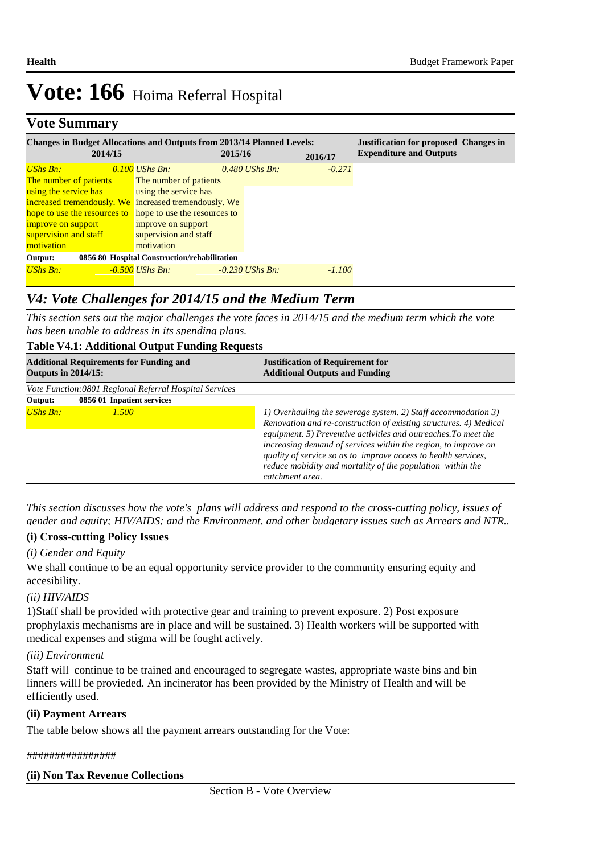## **Vote Summary**

| <b>Changes in Budget Allocations and Outputs from 2013/14 Planned Levels:</b> |         |                                                           |         |                   | <b>Justification for proposed Changes in</b> |                                |
|-------------------------------------------------------------------------------|---------|-----------------------------------------------------------|---------|-------------------|----------------------------------------------|--------------------------------|
|                                                                               | 2014/15 |                                                           | 2015/16 |                   | 2016/17                                      | <b>Expenditure and Outputs</b> |
| <b>UShs Bn:</b>                                                               |         | $0.100$ UShs Bn:                                          |         | $0.480$ UShs Bn:  | $-0.271$                                     |                                |
| The number of patients                                                        |         | The number of patients                                    |         |                   |                                              |                                |
| using the service has                                                         |         | using the service has                                     |         |                   |                                              |                                |
|                                                                               |         | increased tremendously. We increased tremendously. We     |         |                   |                                              |                                |
|                                                                               |         | hope to use the resources to hope to use the resources to |         |                   |                                              |                                |
| improve on support                                                            |         | improve on support                                        |         |                   |                                              |                                |
| supervision and staff                                                         |         | supervision and staff                                     |         |                   |                                              |                                |
| motivation                                                                    |         | motivation                                                |         |                   |                                              |                                |
| 0856 80 Hospital Construction/rehabilitation<br>Output:                       |         |                                                           |         |                   |                                              |                                |
| <b>UShs Bn:</b>                                                               |         | $-0.500$ UShs Bn:                                         |         | $-0.230$ UShs Bn: | $-1.100$                                     |                                |

### *V4: Vote Challenges for 2014/15 and the Medium Term*

*This section sets out the major challenges the vote faces in 2014/15 and the medium term which the vote has been unable to address in its spending plans.*

### **Table V4.1: Additional Output Funding Requests**

| <b>Additional Requirements for Funding and</b><br><b>Outputs in 2014/15:</b>                    | <b>Justification of Requirement for</b><br><b>Additional Outputs and Funding</b>                                                                                                                                                                                                                                                                                                                                           |
|-------------------------------------------------------------------------------------------------|----------------------------------------------------------------------------------------------------------------------------------------------------------------------------------------------------------------------------------------------------------------------------------------------------------------------------------------------------------------------------------------------------------------------------|
| Vote Function:0801 Regional Referral Hospital Services<br>0856 01 Inpatient services<br>Output: |                                                                                                                                                                                                                                                                                                                                                                                                                            |
| <b>UShs Bn:</b><br>1.500                                                                        | 1) Overhauling the sewerage system. 2) Staff accommodation 3)<br>Renovation and re-construction of existing structures. 4) Medical<br>equipment. 5) Preventive activities and outreaches. To meet the<br>increasing demand of services within the region, to improve on<br>quality of service so as to improve access to health services,<br>reduce mobidity and mortality of the population within the<br>catchment area. |

*This section discusses how the vote's plans will address and respond to the cross-cutting policy, issues of gender and equity; HIV/AIDS; and the Environment, and other budgetary issues such as Arrears and NTR..* 

### **(i) Cross-cutting Policy Issues**

### *(i) Gender and Equity*

We shall continue to be an equal opportunity service provider to the community ensuring equity and accesibility.

### *(ii) HIV/AIDS*

1)Staff shall be provided with protective gear and training to prevent exposure. 2) Post exposure prophylaxis mechanisms are in place and will be sustained. 3) Health workers will be supported with medical expenses and stigma will be fought actively.

### *(iii) Environment*

Staff will continue to be trained and encouraged to segregate wastes, appropriate waste bins and bin linners willl be provieded. An incinerator has been provided by the Ministry of Health and will be efficiently used.

### **(ii) Payment Arrears**

The table below shows all the payment arrears outstanding for the Vote:

### ################

### **(ii) Non Tax Revenue Collections**